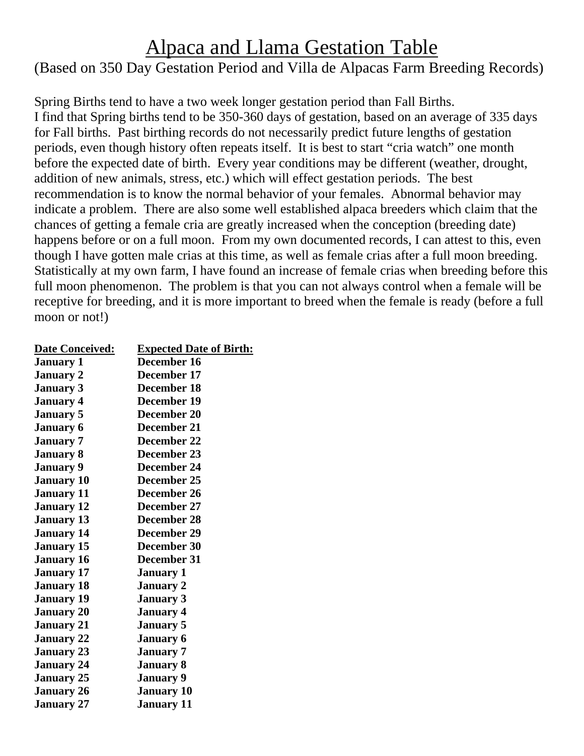## Alpaca and Llama Gestation Table

## (Based on 350 Day Gestation Period and Villa de Alpacas Farm Breeding Records)

Spring Births tend to have a two week longer gestation period than Fall Births. I find that Spring births tend to be 350-360 days of gestation, based on an average of 335 days for Fall births. Past birthing records do not necessarily predict future lengths of gestation periods, even though history often repeats itself. It is best to start "cria watch" one month before the expected date of birth. Every year conditions may be different (weather, drought, addition of new animals, stress, etc.) which will effect gestation periods. The best recommendation is to know the normal behavior of your females. Abnormal behavior may indicate a problem. There are also some well established alpaca breeders which claim that the chances of getting a female cria are greatly increased when the conception (breeding date) happens before or on a full moon. From my own documented records, I can attest to this, even though I have gotten male crias at this time, as well as female crias after a full moon breeding. Statistically at my own farm, I have found an increase of female crias when breeding before this full moon phenomenon. The problem is that you can not always control when a female will be receptive for breeding, and it is more important to breed when the female is ready (before a full moon or not!)

| <b>Date Conceived:</b> | <b>Expected Date of Birth:</b> |
|------------------------|--------------------------------|
| <b>January 1</b>       | December 16                    |
| <b>January 2</b>       | December 17                    |
| <b>January 3</b>       | December 18                    |
| <b>January 4</b>       | December 19                    |
| <b>January 5</b>       | December 20                    |
| <b>January 6</b>       | December 21                    |
| <b>January 7</b>       | <b>December 22</b>             |
| <b>January 8</b>       | December 23                    |
| <b>January 9</b>       | December 24                    |
| <b>January 10</b>      | December 25                    |
| <b>January 11</b>      | December 26                    |
| <b>January</b> 12      | December 27                    |
| <b>January 13</b>      | December 28                    |
| <b>January 14</b>      | December 29                    |
| <b>January 15</b>      | December 30                    |
| <b>January 16</b>      | December 31                    |
| <b>January</b> 17      | <b>January 1</b>               |
| <b>January 18</b>      | January 2                      |
| <b>January 19</b>      | <b>January 3</b>               |
| <b>January 20</b>      | January 4                      |
| <b>January 21</b>      | <b>January 5</b>               |
| <b>January 22</b>      | <b>January 6</b>               |
| <b>January 23</b>      | <b>January 7</b>               |
| <b>January 24</b>      | <b>January 8</b>               |
| <b>January 25</b>      | <b>January 9</b>               |
| <b>January 26</b>      | <b>January 10</b>              |
| January 27             | January 11                     |
|                        |                                |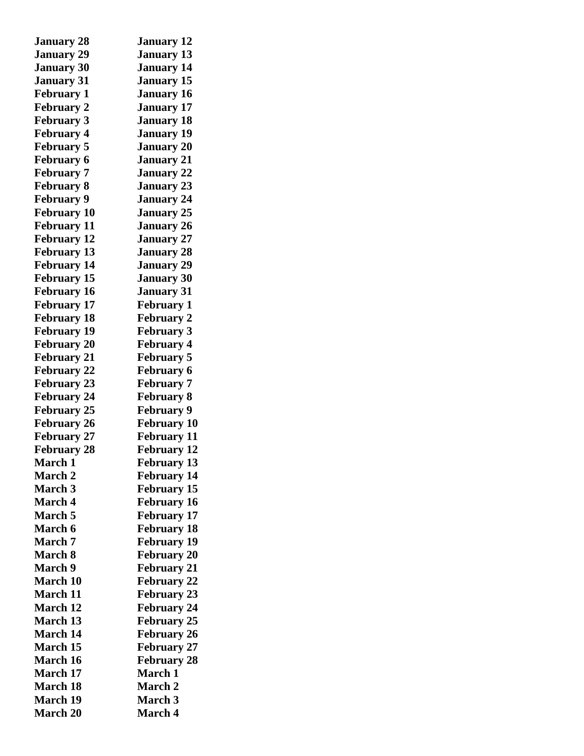| <b>January 28</b>  | <b>January 12</b>                    |
|--------------------|--------------------------------------|
| <b>January 29</b>  | <b>January 13</b>                    |
| <b>January 30</b>  | <b>January 14</b>                    |
| <b>January 31</b>  | <b>January 15</b>                    |
| <b>February 1</b>  | <b>January 16</b>                    |
| <b>February 2</b>  | <b>January 17</b>                    |
| <b>February 3</b>  | <b>January 18</b>                    |
| <b>February 4</b>  | <b>January 19</b>                    |
| <b>February 5</b>  | <b>January 20</b>                    |
| <b>February 6</b>  | <b>January 21</b>                    |
| <b>February 7</b>  | <b>January 22</b>                    |
| <b>February 8</b>  | <b>January 23</b>                    |
| <b>February 9</b>  | <b>January 24</b>                    |
| <b>February 10</b> | <b>January 25</b>                    |
| <b>February 11</b> | <b>January 26</b>                    |
| <b>February 12</b> | <b>January 27</b>                    |
| <b>February 13</b> | <b>January 28</b>                    |
| <b>February 14</b> | <b>January 29</b>                    |
| <b>February 15</b> | <b>January 30</b>                    |
| <b>February 16</b> | <b>January 31</b>                    |
| <b>February 17</b> | <b>February 1</b>                    |
| <b>February 18</b> | <b>February 2</b>                    |
| <b>February 19</b> | <b>February 3</b>                    |
| <b>February 20</b> | <b>February 4</b>                    |
| <b>February 21</b> | <b>February 5</b>                    |
| <b>February 22</b> | <b>February 6</b>                    |
| <b>February 23</b> | <b>February 7</b>                    |
| <b>February 24</b> | <b>February 8</b>                    |
| <b>February 25</b> | <b>February 9</b>                    |
| <b>February 26</b> | <b>February 10</b>                   |
| <b>February 27</b> | <b>February 11</b>                   |
| <b>February 28</b> | <b>February 12</b>                   |
| <b>March 1</b>     | <b>February 13</b>                   |
| <b>March 2</b>     | <b>February 14</b>                   |
| <b>March 3</b>     | <b>February 15</b>                   |
| <b>March 4</b>     | <b>February 16</b>                   |
| <b>March 5</b>     | <b>February 17</b>                   |
| <b>March 6</b>     | <b>February 18</b>                   |
| March 7            | <b>February 19</b>                   |
| March 8            | <b>February 20</b>                   |
| <b>March 9</b>     | <b>February 21</b>                   |
| <b>March 10</b>    | <b>February 22</b>                   |
| <b>March 11</b>    |                                      |
| <b>March 12</b>    | <b>February 23</b>                   |
| <b>March 13</b>    | <b>February 24</b>                   |
| <b>March 14</b>    | <b>February 25</b>                   |
| <b>March 15</b>    | <b>February 26</b>                   |
| <b>March 16</b>    | <b>February 27</b>                   |
| <b>March 17</b>    | <b>February 28</b><br><b>March 1</b> |
|                    |                                      |
| <b>March 18</b>    | <b>March 2</b>                       |
| <b>March 19</b>    | <b>March 3</b>                       |
| <b>March 20</b>    | March 4                              |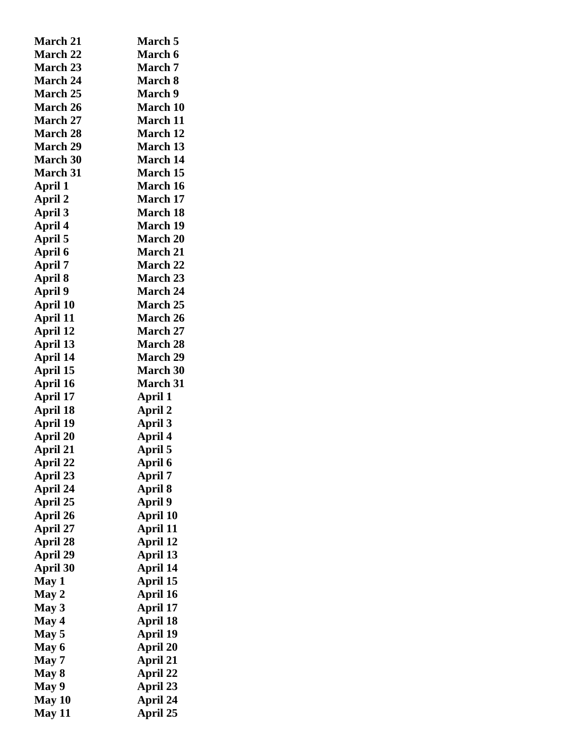| <b>March 21</b> | <b>March 5</b>  |
|-----------------|-----------------|
| <b>March 22</b> | <b>March 6</b>  |
| <b>March 23</b> | <b>March 7</b>  |
| <b>March 24</b> | <b>March 8</b>  |
| <b>March 25</b> | <b>March</b> 9  |
| <b>March 26</b> | <b>March 10</b> |
| <b>March 27</b> | <b>March 11</b> |
| <b>March 28</b> | <b>March 12</b> |
| <b>March 29</b> | <b>March 13</b> |
| <b>March 30</b> | <b>March 14</b> |
| <b>March 31</b> | <b>March 15</b> |
| April 1         | <b>March 16</b> |
| April 2         | <b>March 17</b> |
| <b>April 3</b>  | <b>March 18</b> |
| April 4         | <b>March 19</b> |
| April 5         | <b>March 20</b> |
| April 6         | <b>March 21</b> |
| April 7         | <b>March 22</b> |
| April 8         | <b>March 23</b> |
| <b>April 9</b>  | <b>March 24</b> |
| <b>April 10</b> | <b>March 25</b> |
| April 11        | <b>March 26</b> |
| April 12        | <b>March 27</b> |
| April 13        | <b>March 28</b> |
| April 14        | <b>March 29</b> |
| April 15        | <b>March 30</b> |
| <b>April 16</b> | <b>March 31</b> |
| April 17        | April 1         |
| April 18        | April 2         |
| <b>April 19</b> | <b>April 3</b>  |
| <b>April 20</b> | April 4         |
| April 21        | April 5         |
| April 22        | April 6         |
| <b>April 23</b> | April 7         |
| April 24        | <b>April 8</b>  |
| April 25        | <b>April 9</b>  |
| <b>April 26</b> | April 10        |
| <b>April 27</b> | April 11        |
| <b>April 28</b> | April 12        |
| <b>April 29</b> | April 13        |
| <b>April 30</b> | <b>April 14</b> |
| May 1           | April 15        |
| May 2           | April 16        |
| May 3           | <b>April 17</b> |
| May 4           | April 18        |
| May 5           | <b>April 19</b> |
| May 6           | <b>April 20</b> |
| May 7           | April 21        |
| May 8           | April 22        |
| May 9           | April 23        |
| May 10          | April 24        |
| <b>May 11</b>   | April 25        |
|                 |                 |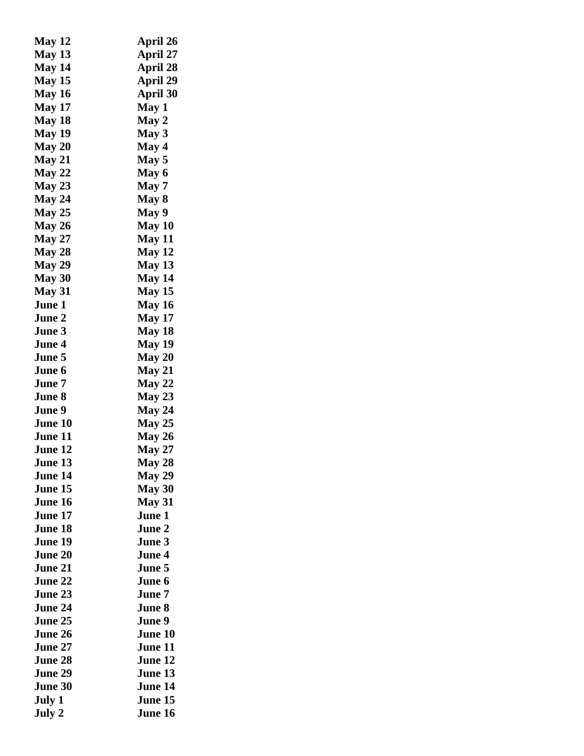| <b>May 12</b>  | April 26        |
|----------------|-----------------|
| <b>May 13</b>  | April 27        |
| May 14         | April 28        |
| <b>May 15</b>  | <b>April 29</b> |
| <b>May 16</b>  | April 30        |
| <b>May 17</b>  | May 1           |
| <b>May 18</b>  | May 2           |
| <b>May 19</b>  | May 3           |
| May 20         | May 4           |
| <b>May 21</b>  | May 5           |
| <b>May 22</b>  | May 6           |
| <b>May 23</b>  | May 7           |
| May 24         | May 8           |
| <b>May 25</b>  | <b>May 9</b>    |
| May 26         | May 10          |
| <b>May 27</b>  | <b>May 11</b>   |
| <b>May 28</b>  | <b>May 12</b>   |
| <b>May 29</b>  | <b>May 13</b>   |
| <b>May 30</b>  | <b>May 14</b>   |
| <b>May 31</b>  | <b>May 15</b>   |
| June 1         | <b>May 16</b>   |
| June 2         | <b>May 17</b>   |
| June 3         | <b>May 18</b>   |
| June 4         | <b>May 19</b>   |
| June 5         | <b>May 20</b>   |
| June 6         | <b>May 21</b>   |
| June 7         | <b>May 22</b>   |
| June 8         | <b>May 23</b>   |
| June 9         | <b>May 24</b>   |
| <b>June 10</b> | <b>May 25</b>   |
| June 11        | <b>May 26</b>   |
| June 12        | <b>May 27</b>   |
| June 13.       | <b>May 28</b>   |
| June 14        | <b>May 29</b>   |
| June 15        | May 30          |
| June 16        | <b>May 31</b>   |
| June 17        | June 1          |
| <b>June 18</b> | June 2          |
| June 19        | June 3          |
| June 20        | June 4          |
| June 21        | June 5          |
| <b>June 22</b> | June 6          |
| <b>June 23</b> | June 7          |
| June 24        | June 8          |
| June 25        | June 9          |
| June 26        | June 10         |
| June 27        | June 11         |
| <b>June 28</b> | June 12         |
| June 29        | June 13         |
|                | June 14         |
| <b>June 30</b> |                 |
| July 1         | June 15         |
| July 2         | June 16         |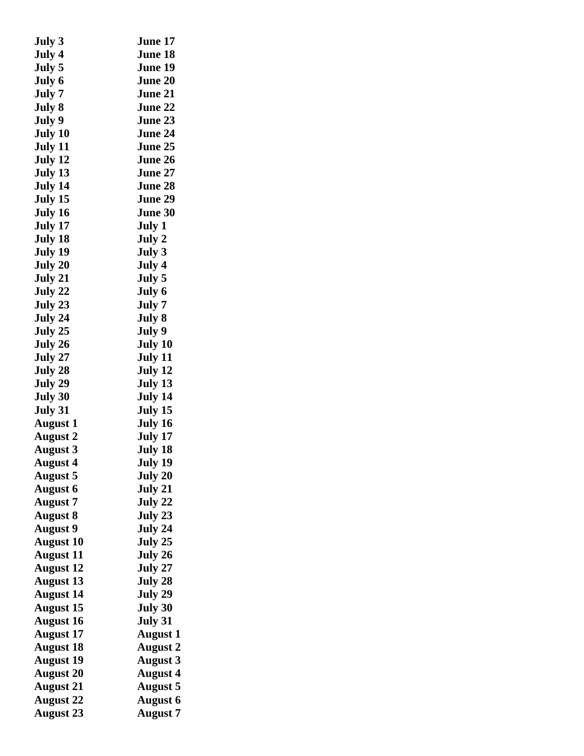| July 3           | June 17         |
|------------------|-----------------|
| July 4           | June 18         |
| July 5           | June 19         |
| July 6           | <b>June 20</b>  |
| July 7           | <b>June 21</b>  |
| July 8           | <b>June 22</b>  |
| July 9           | June 23         |
| July 10          | <b>June 24</b>  |
| July 11          | <b>June 25</b>  |
| July 12          | <b>June 26</b>  |
| July 13          | <b>June 27</b>  |
| July 14          | <b>June 28</b>  |
| July 15          | <b>June 29</b>  |
| July 16          | June 30         |
| July 17          | July 1          |
| July 18          | July 2          |
| July 19          | July 3          |
| July 20          | July 4          |
| July 21          | July 5          |
| July 22          | July 6          |
| July 23          | July 7          |
| July 24          | July 8          |
| July 25          | July 9          |
| July 26          | July 10         |
| July 27          | July 11         |
|                  | July 12         |
| July 28          |                 |
| July 29          | July 13         |
| July 30          | July 14         |
| July 31          | July 15         |
| <b>August</b> 1  | July 16         |
| August 2         | July 17         |
| August 3         | July 18         |
| August 4         | July 19         |
| <b>August 5</b>  | July 20         |
| <b>August 6</b>  | July 21         |
| <b>August 7</b>  | July 22         |
| <b>August 8</b>  | July 23         |
| <b>August 9</b>  | July 24         |
| <b>August 10</b> | July 25         |
| <b>August 11</b> | July 26         |
| <b>August 12</b> | July 27         |
| <b>August 13</b> | July 28         |
| <b>August 14</b> | July 29         |
| <b>August 15</b> | July 30         |
| <b>August 16</b> | July 31         |
| <b>August 17</b> | <b>August 1</b> |
| <b>August 18</b> | <b>August 2</b> |
| <b>August 19</b> | <b>August 3</b> |
| <b>August 20</b> | <b>August 4</b> |
| <b>August 21</b> | <b>August 5</b> |
| <b>August 22</b> | <b>August 6</b> |
| <b>August 23</b> | <b>August 7</b> |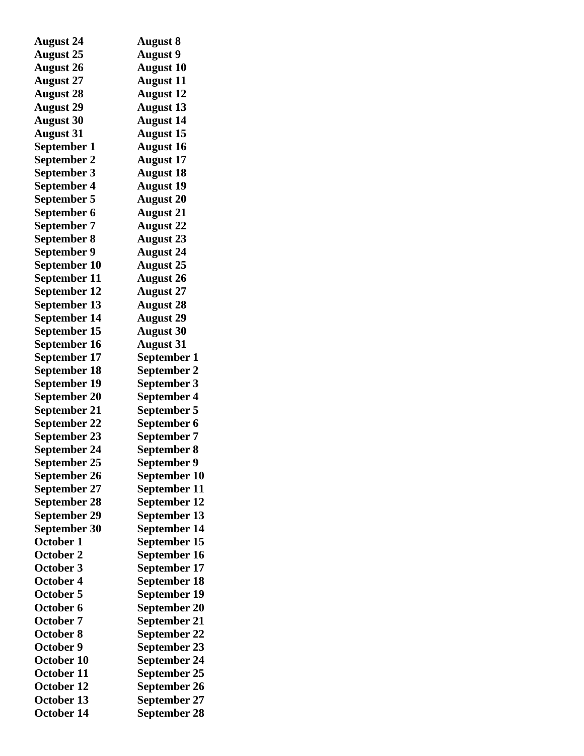| <b>August 24</b>    | <b>August 8</b>     |
|---------------------|---------------------|
| <b>August 25</b>    | <b>August 9</b>     |
| <b>August 26</b>    | <b>August 10</b>    |
| <b>August 27</b>    | <b>August 11</b>    |
| <b>August 28</b>    | <b>August 12</b>    |
| <b>August 29</b>    | <b>August 13</b>    |
| <b>August 30</b>    | <b>August 14</b>    |
| <b>August 31</b>    | <b>August 15</b>    |
| September 1         | <b>August 16</b>    |
| September 2         | <b>August 17</b>    |
| September 3         | <b>August 18</b>    |
| <b>September 4</b>  | <b>August 19</b>    |
| September 5         | <b>August 20</b>    |
| September 6         | <b>August 21</b>    |
| September 7         | <b>August 22</b>    |
| September 8         | <b>August 23</b>    |
| <b>September 9</b>  | <b>August 24</b>    |
| September 10        | <b>August 25</b>    |
| September 11        | <b>August 26</b>    |
| <b>September 12</b> | <b>August 27</b>    |
| September 13        | <b>August 28</b>    |
| <b>September 14</b> | <b>August 29</b>    |
| September 15        | <b>August 30</b>    |
| September 16        | <b>August 31</b>    |
| September 17        | September 1         |
| <b>September 18</b> | September 2         |
| September 19        | September 3         |
| <b>September 20</b> | <b>September 4</b>  |
| September 21        | September 5         |
| <b>September 22</b> | September 6         |
| <b>September 23</b> | September 7         |
| <b>September 24</b> | <b>September 8</b>  |
| September 25        | September 9         |
| September 26        | September 10        |
| September 27        | September 11        |
| <b>September 28</b> | <b>September 12</b> |
| September 29        | September 13        |
| <b>September 30</b> | September 14        |
| October 1           | September 15        |
| <b>October 2</b>    | September 16        |
| October 3           | September 17        |
| <b>October 4</b>    | September 18        |
| <b>October 5</b>    | September 19        |
| October 6           | September 20        |
| <b>October 7</b>    | September 21        |
| <b>October 8</b>    | <b>September 22</b> |
| October 9           | September 23        |
| October 10          | <b>September 24</b> |
| <b>October 11</b>   | September 25        |
| October 12          | September 26        |
| October 13          | September 27        |
| October 14          | September 28        |
|                     |                     |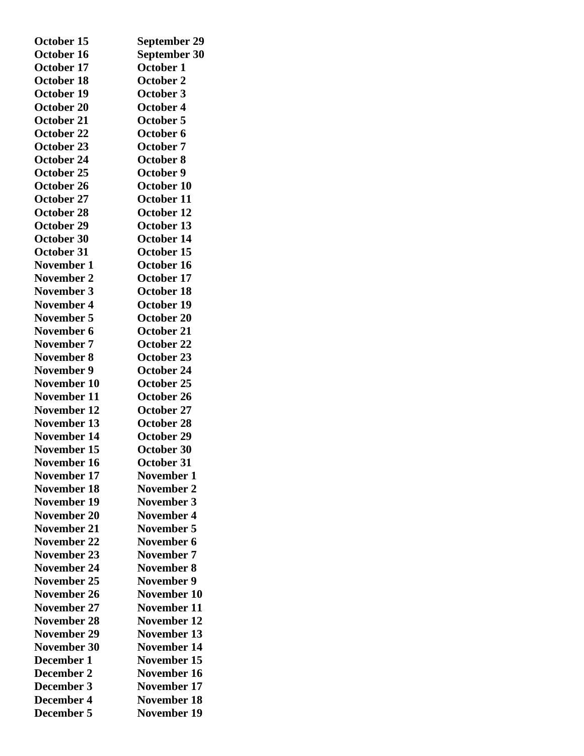| October 15         | <b>September 29</b> |
|--------------------|---------------------|
| October 16         | September 30        |
| October 17         | <b>October 1</b>    |
| <b>October 18</b>  | <b>October 2</b>    |
| October 19         | <b>October 3</b>    |
| <b>October 20</b>  | October 4           |
| October 21         | October 5           |
| October 22         | October 6           |
| <b>October 23</b>  | October 7           |
| October 24         | October 8           |
| October 25         | October 9           |
| October 26         | October 10          |
| October 27         | October 11          |
| October 28         | October 12          |
| October 29         | October 13          |
| October 30         | October 14          |
| October 31         | October 15          |
| <b>November 1</b>  | October 16          |
| <b>November 2</b>  | October 17          |
| November 3         | October 18          |
| <b>November 4</b>  | October 19          |
| November 5         | October 20          |
| November 6         | <b>October 21</b>   |
| November 7         | October 22          |
| <b>November 8</b>  | October 23          |
| <b>November 9</b>  | October 24          |
| November 10        | October 25          |
| <b>November 11</b> | October 26          |
| <b>November 12</b> | October 27          |
| November 13        | <b>October 28</b>   |
| <b>November 14</b> | October 29          |
| November 15        | <b>October 30</b>   |
| November 16        | October 31          |
| <b>November 17</b> | November 1          |
| <b>November 18</b> | <b>November 2</b>   |
| <b>November 19</b> | <b>November 3</b>   |
| November 20        | <b>November 4</b>   |
| November 21        | November 5          |
| November 22        | November 6          |
| November 23        | <b>November 7</b>   |
| <b>November 24</b> | <b>November 8</b>   |
| <b>November 25</b> | <b>November 9</b>   |
| November 26        | November 10         |
| November 27        | <b>November 11</b>  |
| <b>November 28</b> | <b>November 12</b>  |
| <b>November 29</b> | <b>November 13</b>  |
| November 30        | <b>November 14</b>  |
| December 1         | November 15         |
| December 2         | <b>November 16</b>  |
| December 3         | November 17         |
| <b>December 4</b>  | <b>November 18</b>  |
| December 5         | November 19         |
|                    |                     |